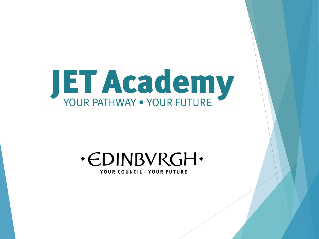

#### **.CDINBVRGH.** YOUR COUNCIL - YOUR FUTURE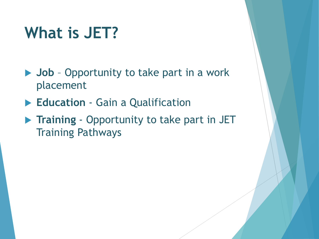#### **What is JET?**

- **▶ Job** Opportunity to take part in a work placement
- **Education** Gain a Qualification
- **Training** Opportunity to take part in JET Training Pathways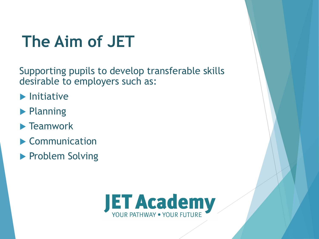# **The Aim of JET**

Supporting pupils to develop transferable skills desirable to employers such as:

- $\blacktriangleright$  Initiative
- **Planning**
- $\blacktriangleright$  Teamwork
- Communication
- **Problem Solving**

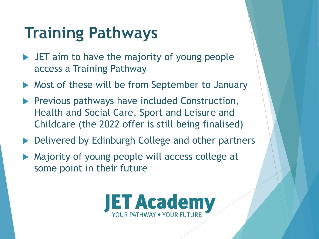## **Training Pathways**

- **IFT** aim to have the majority of young people access a Training Pathway
- Most of these will be from September to January
- **Previous pathways have included Construction,** Health and Social Care, Sport and Leisure and Childcare (the 2022 offer is still being finalised)
- Delivered by Edinburgh College and other partners
- Majority of young people will access college at some point in their future

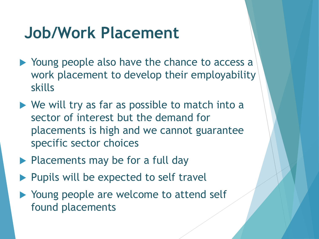#### **Job/Work Placement**

- ▶ Young people also have the chance to access a work placement to develop their employability skills
- $\triangleright$  We will try as far as possible to match into a sector of interest but the demand for placements is high and we cannot guarantee specific sector choices
- $\blacktriangleright$  Placements may be for a full day
- $\blacktriangleright$  Pupils will be expected to self travel
- ▶ Young people are welcome to attend self found placements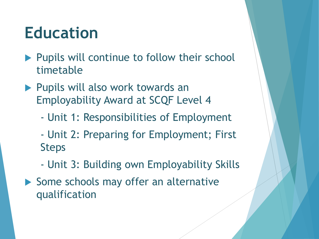#### **Education**

- Pupils will continue to follow their school timetable
- ▶ Pupils will also work towards an Employability Award at SCQF Level 4
	- Unit 1: Responsibilities of Employment
	- Unit 2: Preparing for Employment; First Steps
	- Unit 3: Building own Employability Skills
- Some schools may offer an alternative qualification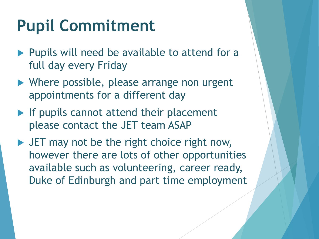## **Pupil Commitment**

- Pupils will need be available to attend for a full day every Friday
- ▶ Where possible, please arrange non urgent appointments for a different day
- $\blacktriangleright$  If pupils cannot attend their placement please contact the JET team ASAP
- If JET may not be the right choice right now, however there are lots of other opportunities available such as volunteering, career ready, Duke of Edinburgh and part time employment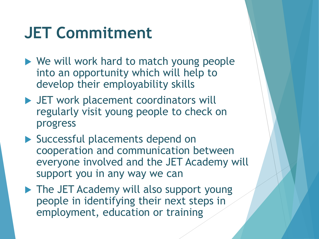#### **JET Commitment**

- ▶ We will work hard to match young people into an opportunity which will help to develop their employability skills
- ▶ JET work placement coordinators will regularly visit young people to check on progress
- ▶ Successful placements depend on cooperation and communication between everyone involved and the JET Academy will support you in any way we can
- ▶ The JET Academy will also support young people in identifying their next steps in employment, education or training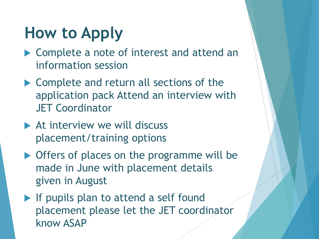#### **How to Apply**

- ▶ Complete a note of interest and attend an information session
- ▶ Complete and return all sections of the application pack Attend an interview with JET Coordinator
- At interview we will discuss placement/training options
- ▶ Offers of places on the programme will be made in June with placement details given in August
- $\blacktriangleright$  If pupils plan to attend a self found placement please let the JET coordinator know ASAP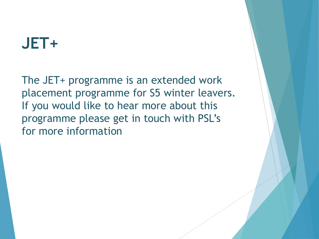#### **JET+**

The JET+ programme is an extended work placement programme for S5 winter leavers. If you would like to hear more about this programme please get in touch with PSL's for more information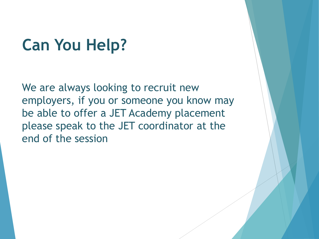#### **Can You Help?**

We are always looking to recruit new employers, if you or someone you know may be able to offer a JET Academy placement please speak to the JET coordinator at the end of the session